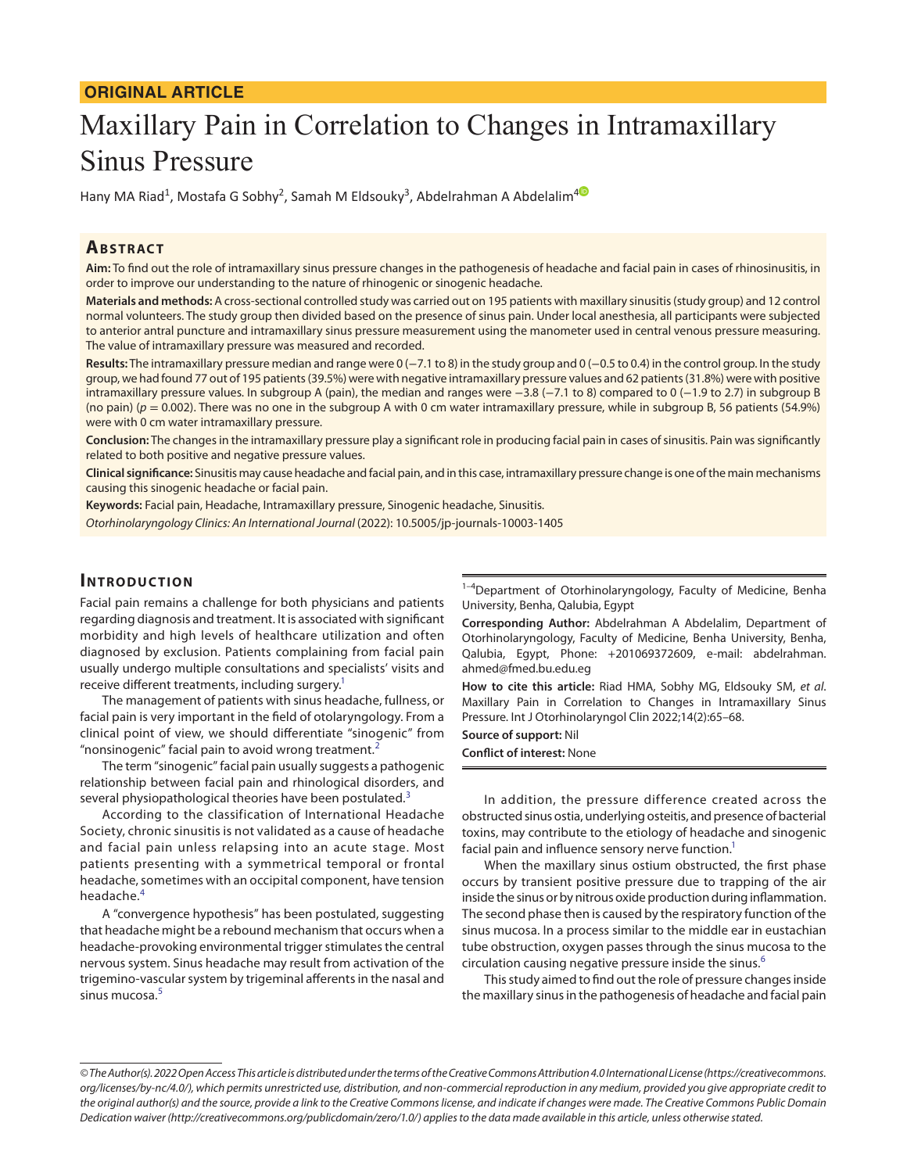## **ORIGINAL ARTICLE**

# Maxillary Pain in Correlation to Changes in Intramaxillary Sinus Pressure

Hany MA Riad<sup>1</sup>, Mostafa G Sobhy<sup>2</sup>, Samah M Eldsouky<sup>3</sup>, Abdelrahman A Abdelalim<sup>[4](https://orcid.org/0000-0002-6007-8622)</sup>

## **ABSTRACT**

**Aim:** To find out the role of intramaxillary sinus pressure changes in the pathogenesis of headache and facial pain in cases of rhinosinusitis, in order to improve our understanding to the nature of rhinogenic or sinogenic headache.

**Materials and methods:** A cross-sectional controlled study was carried out on 195 patients with maxillary sinusitis (study group) and 12 control normal volunteers. The study group then divided based on the presence of sinus pain. Under local anesthesia, all participants were subjected to anterior antral puncture and intramaxillary sinus pressure measurement using the manometer used in central venous pressure measuring. The value of intramaxillary pressure was measured and recorded.

**Results:** The intramaxillary pressure median and range were 0 (−7.1 to 8) in the study group and 0 (−0.5 to 0.4) in the control group. In the study group, we had found 77 out of 195 patients (39.5%) were with negative intramaxillary pressure values and 62 patients (31.8%) were with positive intramaxillary pressure values. In subgroup A (pain), the median and ranges were −3.8 (−7.1 to 8) compared to 0 (−1.9 to 2.7) in subgroup B (no pain) (*p* = 0.002). There was no one in the subgroup A with 0 cm water intramaxillary pressure, while in subgroup B, 56 patients (54.9%) were with 0 cm water intramaxillary pressure.

**Conclusion:** The changes in the intramaxillary pressure play a significant role in producing facial pain in cases of sinusitis. Pain was significantly related to both positive and negative pressure values.

**Clinical significance:** Sinusitis may cause headache and facial pain, and in this case, intramaxillary pressure change is one of the main mechanisms causing this sinogenic headache or facial pain.

**Keywords:** Facial pain, Headache, Intramaxillary pressure, Sinogenic headache, Sinusitis.

*Otorhinolaryngology Clinics: An International Journal* (2022): 10.5005/jp-journals-10003-1405

## **INTRODUCTION**

Facial pain remains a challenge for both physicians and patients regarding diagnosis and treatment. It is associated with significant morbidity and high levels of healthcare utilization and often diagnosed by exclusion. Patients complaining from facial pain usually undergo multiple consultations and specialists' visits and receive different treatments, including surgery.<sup>1</sup>

The management of patients with sinus headache, fullness, or facial pain is very important in the field of otolaryngology. From a clinical point of view, we should differentiate "sinogenic" from "nonsinogenic" facial pain to avoid wrong treatment.<sup>[2](#page-3-1)</sup>

The term "sinogenic" facial pain usually suggests a pathogenic relationship between facial pain and rhinological disorders, and several physiopathological theories have been postulated.<sup>[3](#page-3-2)</sup>

According to the classification of International Headache Society, chronic sinusitis is not validated as a cause of headache and facial pain unless relapsing into an acute stage. Most patients presenting with a symmetrical temporal or frontal headache, sometimes with an occipital component, have tension headache.[4](#page-3-3)

A "convergence hypothesis" has been postulated, suggesting that headache might be a rebound mechanism that occurs when a headache-provoking environmental trigger stimulates the central nervous system. Sinus headache may result from activation of the trigemino-vascular system by trigeminal afferents in the nasal and sinus mucosa.<sup>[5](#page-3-4)</sup>

<sup>1-4</sup>Department of Otorhinolaryngology, Faculty of Medicine, Benha University, Benha, Qalubia, Egypt

**Corresponding Author:** Abdelrahman A Abdelalim, Department of Otorhinolaryngology, Faculty of Medicine, Benha University, Benha, Qalubia, Egypt, Phone: +201069372609, e-mail: abdelrahman. ahmed@fmed.bu.edu.eg

**How to cite this article:** Riad HMA, Sobhy MG, Eldsouky SM, *et al*. Maxillary Pain in Correlation to Changes in Intramaxillary Sinus Pressure. Int J Otorhinolaryngol Clin 2022;14(2):65–68.

**Source of support:** Nil **Conflict of interest:** None

In addition, the pressure difference created across the obstructed sinus ostia, underlying osteitis, and presence of bacterial toxins, may contribute to the etiology of headache and sinogenic facial pain and influence sensory nerve function.<sup>1</sup>

When the maxillary sinus ostium obstructed, the first phase occurs by transient positive pressure due to trapping of the air inside the sinus or by nitrous oxide production during inflammation. The second phase then is caused by the respiratory function of the sinus mucosa. In a process similar to the middle ear in eustachian tube obstruction, oxygen passes through the sinus mucosa to the circulation causing negative pressure inside the sinus.<sup>[6](#page-3-5)</sup>

This study aimed to find out the role of pressure changes inside the maxillary sinus in the pathogenesis of headache and facial pain

*<sup>©</sup> The Author(s). 2022 Open Access This article is distributed under the terms of the Creative Commons Attribution 4.0 International License ([https://creativecommons.](https://creativecommons. org/licenses/by-nc/4.0/)  [org/licenses/by-nc/4.0/](https://creativecommons. org/licenses/by-nc/4.0/)), which permits unrestricted use, distribution, and non-commercial reproduction in any medium, provided you give appropriate credit to the original author(s) and the source, provide a link to the Creative Commons license, and indicate if changes were made. The Creative Commons Public Domain Dedication waiver [\(http://creativecommons.org/publicdomain/zero/1.0/](http://creativecommons.org/publicdomain/zero/1.0/)) applies to the data made available in this article, unless otherwise stated.*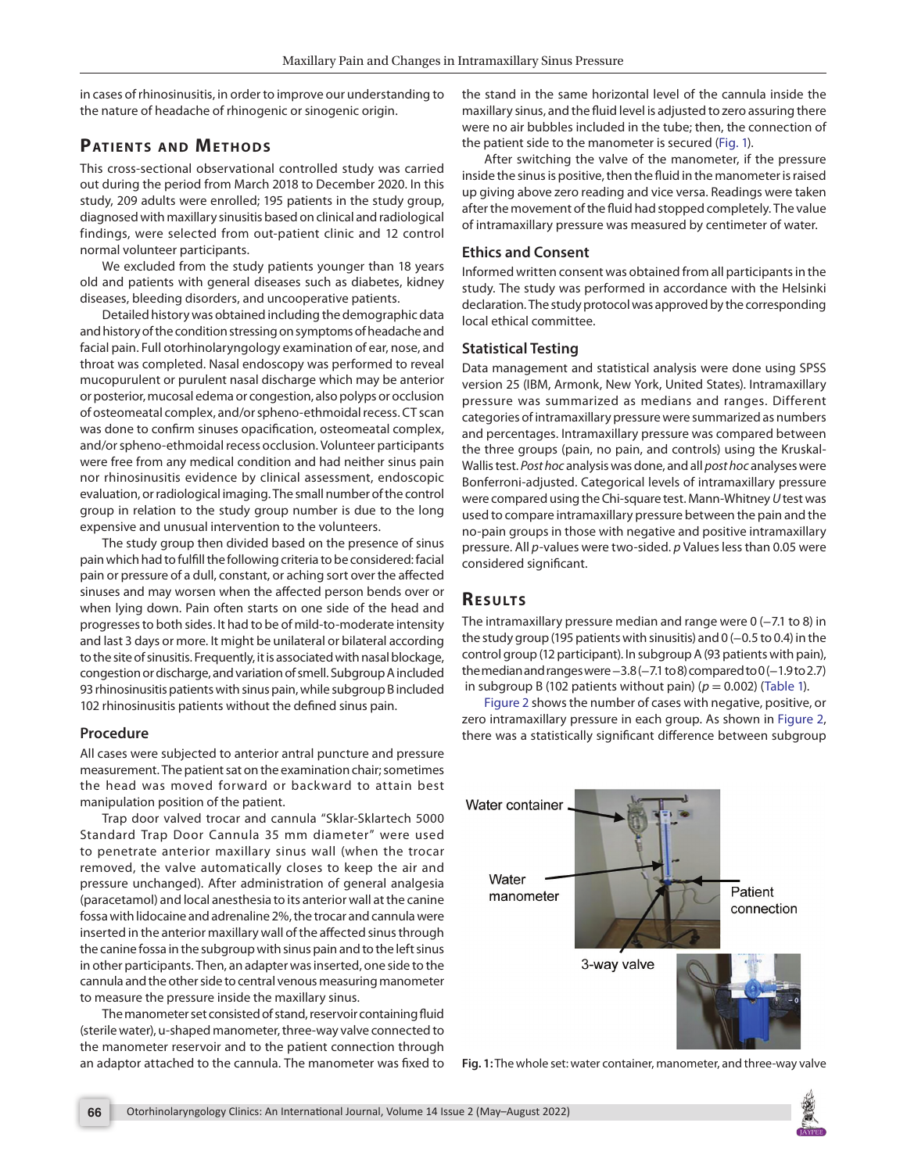in cases of rhinosinusitis, in order to improve our understanding to the nature of headache of rhinogenic or sinogenic origin.

# **PATIENTS AND METHODS**

This cross-sectional observational controlled study was carried out during the period from March 2018 to December 2020. In this study, 209 adults were enrolled; 195 patients in the study group, diagnosed with maxillary sinusitis based on clinical and radiological findings, were selected from out-patient clinic and 12 control normal volunteer participants.

We excluded from the study patients younger than 18 years old and patients with general diseases such as diabetes, kidney diseases, bleeding disorders, and uncooperative patients.

Detailed history was obtained including the demographic data and history of the condition stressing on symptoms of headache and facial pain. Full otorhinolaryngology examination of ear, nose, and throat was completed. Nasal endoscopy was performed to reveal mucopurulent or purulent nasal discharge which may be anterior or posterior, mucosal edema or congestion, also polyps or occlusion of osteomeatal complex, and/or spheno-ethmoidal recess. CT scan was done to confirm sinuses opacification, osteomeatal complex, and/or spheno-ethmoidal recess occlusion. Volunteer participants were free from any medical condition and had neither sinus pain nor rhinosinusitis evidence by clinical assessment, endoscopic evaluation, or radiological imaging. The small number of the control group in relation to the study group number is due to the long expensive and unusual intervention to the volunteers.

The study group then divided based on the presence of sinus pain which had to fulfill the following criteria to be considered: facial pain or pressure of a dull, constant, or aching sort over the affected sinuses and may worsen when the affected person bends over or when lying down. Pain often starts on one side of the head and progresses to both sides. It had to be of mild-to-moderate intensity and last 3 days or more. It might be unilateral or bilateral according to the site of sinusitis. Frequently, it is associated with nasal blockage, congestion or discharge, and variation of smell. Subgroup A included 93 rhinosinusitis patients with sinus pain, while subgroup B included 102 rhinosinusitis patients without the defined sinus pain.

## **Procedure**

All cases were subjected to anterior antral puncture and pressure measurement. The patient sat on the examination chair; sometimes the head was moved forward or backward to attain best manipulation position of the patient.

Trap door valved trocar and cannula "Sklar-Sklartech 5000 Standard Trap Door Cannula 35 mm diameter" were used to penetrate anterior maxillary sinus wall (when the trocar removed, the valve automatically closes to keep the air and pressure unchanged). After administration of general analgesia (paracetamol) and local anesthesia to its anterior wall at the canine fossa with lidocaine and adrenaline 2%, the trocar and cannula were inserted in the anterior maxillary wall of the affected sinus through the canine fossa in the subgroup with sinus pain and to the left sinus in other participants. Then, an adapter was inserted, one side to the cannula and the other side to central venous measuring manometer to measure the pressure inside the maxillary sinus.

The manometer set consisted of stand, reservoir containing fluid (sterile water), u-shaped manometer, three-way valve connected to the manometer reservoir and to the patient connection through an adaptor attached to the cannula. The manometer was fixed to the stand in the same horizontal level of the cannula inside the maxillary sinus, and the fluid level is adjusted to zero assuring there were no air bubbles included in the tube; then, the connection of the patient side to the manometer is secured [\(Fig. 1\)](#page-1-0).

After switching the valve of the manometer, if the pressure inside the sinus is positive, then the fluid in the manometer is raised up giving above zero reading and vice versa. Readings were taken after the movement of the fluid had stopped completely. The value of intramaxillary pressure was measured by centimeter of water.

## **Ethics and Consent**

Informed written consent was obtained from all participants in the study. The study was performed in accordance with the Helsinki declaration. The study protocol was approved by the corresponding local ethical committee.

## **Statistical Testing**

Data management and statistical analysis were done using SPSS version 25 (IBM, Armonk, New York, United States). Intramaxillary pressure was summarized as medians and ranges. Different categories of intramaxillary pressure were summarized as numbers and percentages. Intramaxillary pressure was compared between the three groups (pain, no pain, and controls) using the Kruskal-Wallis test. *Post hoc* analysis was done, and all *post hoc* analyses were Bonferroni-adjusted. Categorical levels of intramaxillary pressure were compared using the Chi-square test. Mann-Whitney *U* test was used to compare intramaxillary pressure between the pain and the no-pain groups in those with negative and positive intramaxillary pressure. All *p*-values were two-sided. *p* Values less than 0.05 were considered significant.

# **RESULTS**

The intramaxillary pressure median and range were 0 (−7.1 to 8) in the study group (195 patients with sinusitis) and 0 (-0.5 to 0.4) in the control group (12 participant). In subgroup A (93 patients with pain), the median and ranges were −3.8 (−7.1 to 8) compared to 0 (−1.9 to 2.7) in subgroup B (102 patients without pain)  $(p = 0.002)$  [\(Table 1](#page-2-0)).

[Figure 2](#page-2-1) shows the number of cases with negative, positive, or zero intramaxillary pressure in each group. As shown in [Figure 2](#page-2-1), there was a statistically significant difference between subgroup



<span id="page-1-0"></span>**Fig. 1:** The whole set: water container, manometer, and three-way valve

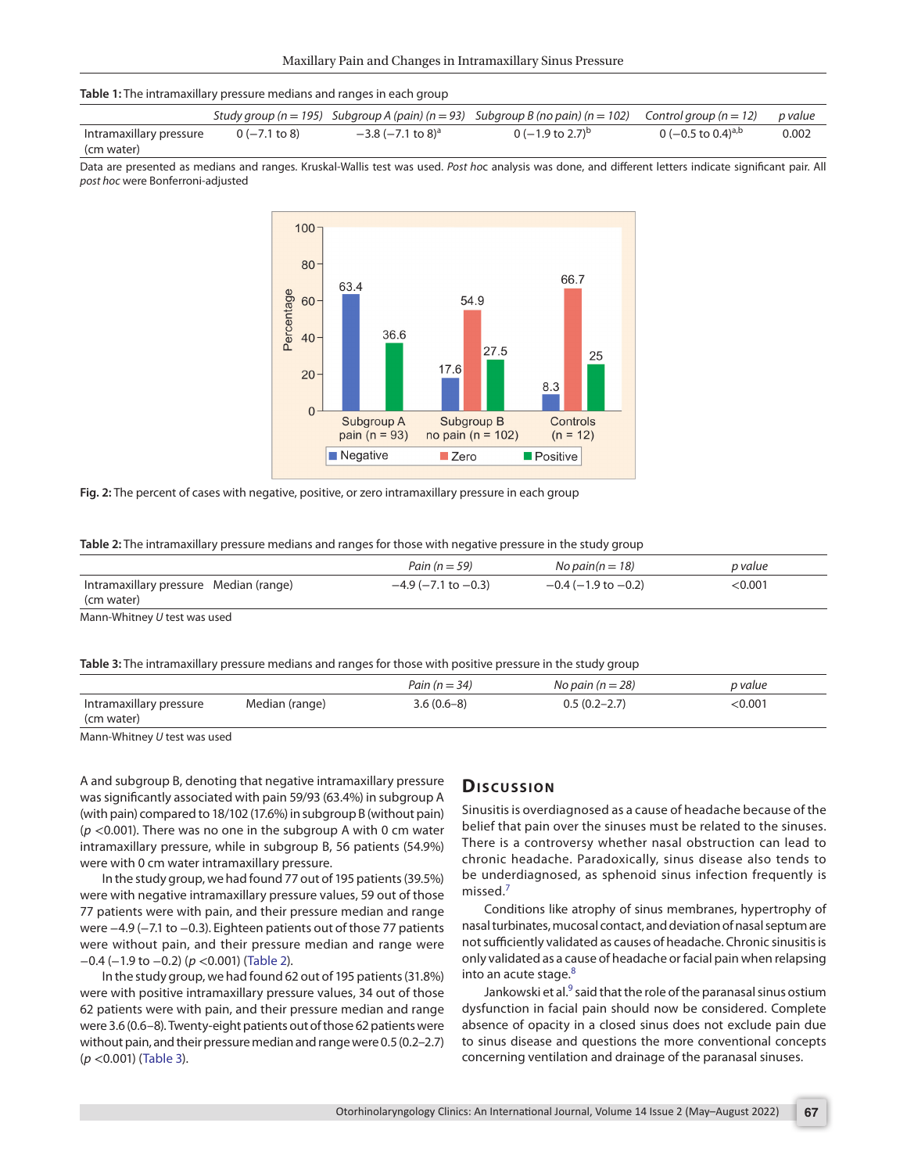#### <span id="page-2-0"></span>**Table 1:** The intramaxillary pressure medians and ranges in each group

|                         |                    |                                       | Study group ( $n = 195$ ) Subgroup A (pain) ( $n = 93$ ) Subgroup B (no pain) ( $n = 102$ ) Control group ( $n = 12$ ) p value |                                |       |
|-------------------------|--------------------|---------------------------------------|--------------------------------------------------------------------------------------------------------------------------------|--------------------------------|-------|
| Intramaxillary pressure | $0$ ( $-7.1$ to 8) | $-3.8$ ( $-7.1$ to $8$ ) <sup>a</sup> | 0 ( $-1.9$ to 2.7) <sup>b</sup>                                                                                                | 0 (-0.5 to 0.4) <sup>a,b</sup> | 0.002 |
| (cm water)              |                    |                                       |                                                                                                                                |                                |       |

Data are presented as medians and ranges. Kruskal-Wallis test was used. *Post ho*c analysis was done, and different letters indicate significant pair. All *post hoc* were Bonferroni-adjusted



<span id="page-2-1"></span>**Fig. 2:** The percent of cases with negative, positive, or zero intramaxillary pressure in each group

<span id="page-2-2"></span>

|  | Table 2: The intramaxillary pressure medians and ranges for those with negative pressure in the study group |  |  |
|--|-------------------------------------------------------------------------------------------------------------|--|--|
|  |                                                                                                             |  |  |

|                                                      | Pain ( $n = 59$ )           | No pain( $n = 18$ )         | p value |
|------------------------------------------------------|-----------------------------|-----------------------------|---------|
| Intramaxillary pressure Median (range)<br>(cm water) | $-4.9$ ( $-7.1$ to $-0.3$ ) | $-0.4$ ( $-1.9$ to $-0.2$ ) | <0.001  |

Mann-Whitney *U* test was used

<span id="page-2-3"></span>**Table 3:** The intramaxillary pressure medians and ranges for those with positive pressure in the study group

|                         |                | Pain ( $n = 34$ ) | No pain ( $n = 28$ ) | p value |
|-------------------------|----------------|-------------------|----------------------|---------|
| Intramaxillary pressure | Median (range) | $3.6(0.6-8)$      | $0.5(0.2 - 2.7)$     | 0.001:  |
| (cm water)              |                |                   |                      |         |

Mann-Whitney *U* test was used

A and subgroup B, denoting that negative intramaxillary pressure was significantly associated with pain 59/93 (63.4%) in subgroup A (with pain) compared to 18/102 (17.6%) in subgroup B (without pain) (*p* <0.001). There was no one in the subgroup A with 0 cm water intramaxillary pressure, while in subgroup B, 56 patients (54.9%) were with 0 cm water intramaxillary pressure.

In the study group, we had found 77 out of 195 patients (39.5%) were with negative intramaxillary pressure values, 59 out of those 77 patients were with pain, and their pressure median and range were −4.9 (−7.1 to −0.3). Eighteen patients out of those 77 patients were without pain, and their pressure median and range were −0.4 (−1.9 to −0.2) (*p* <0.001) ([Table 2\)](#page-2-2).

In the study group, we had found 62 out of 195 patients (31.8%) were with positive intramaxillary pressure values, 34 out of those 62 patients were with pain, and their pressure median and range were 3.6 (0.6–8). Twenty-eight patients out of those 62 patients were without pain, and their pressure median and range were 0.5 (0.2–2.7) (*p* <0.001) ([Table 3\)](#page-2-3).

## **Dis c u s sio n**

Sinusitis is overdiagnosed as a cause of headache because of the belief that pain over the sinuses must be related to the sinuses. There is a controversy whether nasal obstruction can lead to chronic headache. Paradoxically, sinus disease also tends to be underdiagnosed, as sphenoid sinus infection frequently is missed.<sup>[7](#page-3-6)</sup>

Conditions like atrophy of sinus membranes, hypertrophy of nasal turbinates, mucosal contact, and deviation of nasal septum are not sufficiently validated as causes of headache. Chronic sinusitis is only validated as a cause of headache or facial pain when relapsing into an acute stage.<sup>[8](#page-3-7)</sup>

Jankowski et al. $^9$  $^9$  said that the role of the paranasal sinus ostium dysfunction in facial pain should now be considered. Complete absence of opacity in a closed sinus does not exclude pain due to sinus disease and questions the more conventional concepts concerning ventilation and drainage of the paranasal sinuses.